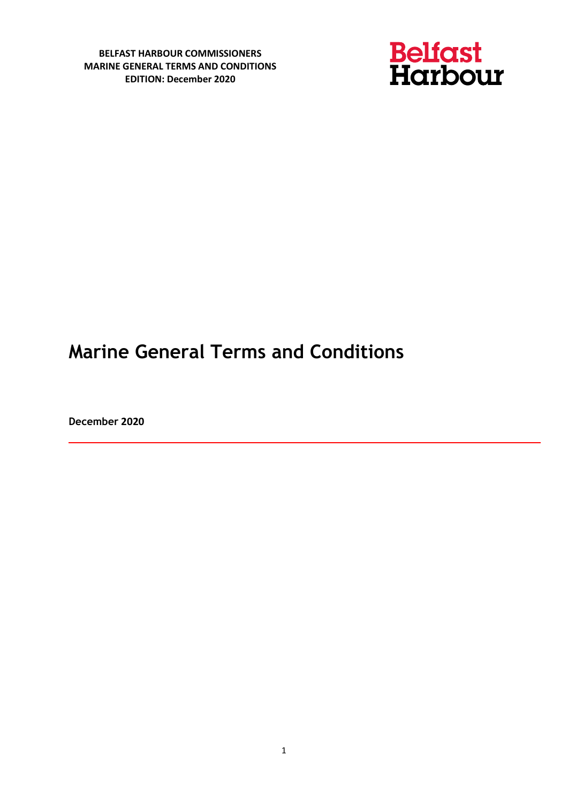

# **Marine General Terms and Conditions**

**December 2020**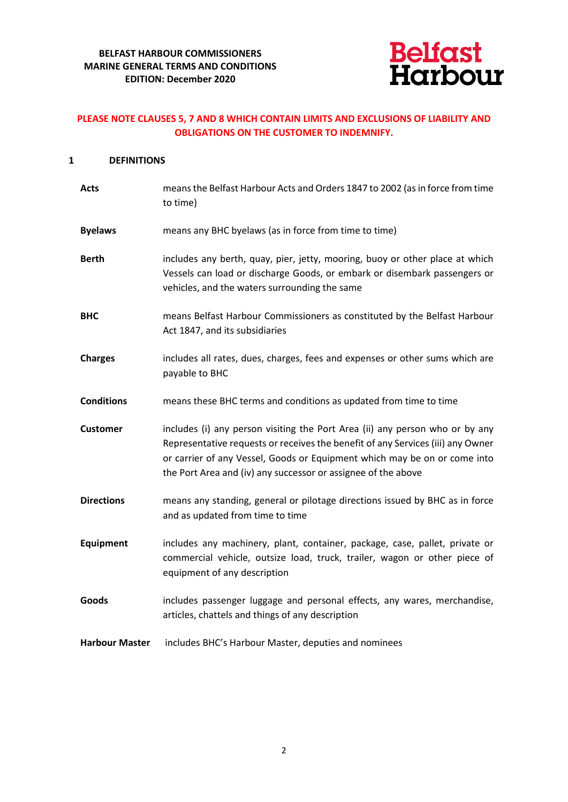

# **PLEASE NOTE CLAUSES 5, 7 AND 8 WHICH CONTAIN LIMITS AND EXCLUSIONS OF LIABILITY AND OBLIGATIONS ON THE CUSTOMER TO INDEMNIFY.**

# **1 DEFINITIONS**

| <b>Acts</b>           | means the Belfast Harbour Acts and Orders 1847 to 2002 (as in force from time<br>to time)                                                                                                                                                                                                                     |
|-----------------------|---------------------------------------------------------------------------------------------------------------------------------------------------------------------------------------------------------------------------------------------------------------------------------------------------------------|
| <b>Byelaws</b>        | means any BHC byelaws (as in force from time to time)                                                                                                                                                                                                                                                         |
| <b>Berth</b>          | includes any berth, quay, pier, jetty, mooring, buoy or other place at which<br>Vessels can load or discharge Goods, or embark or disembark passengers or<br>vehicles, and the waters surrounding the same                                                                                                    |
| <b>BHC</b>            | means Belfast Harbour Commissioners as constituted by the Belfast Harbour<br>Act 1847, and its subsidiaries                                                                                                                                                                                                   |
| <b>Charges</b>        | includes all rates, dues, charges, fees and expenses or other sums which are<br>payable to BHC                                                                                                                                                                                                                |
| <b>Conditions</b>     | means these BHC terms and conditions as updated from time to time                                                                                                                                                                                                                                             |
| <b>Customer</b>       | includes (i) any person visiting the Port Area (ii) any person who or by any<br>Representative requests or receives the benefit of any Services (iii) any Owner<br>or carrier of any Vessel, Goods or Equipment which may be on or come into<br>the Port Area and (iv) any successor or assignee of the above |
| <b>Directions</b>     | means any standing, general or pilotage directions issued by BHC as in force<br>and as updated from time to time                                                                                                                                                                                              |
| <b>Equipment</b>      | includes any machinery, plant, container, package, case, pallet, private or<br>commercial vehicle, outsize load, truck, trailer, wagon or other piece of<br>equipment of any description                                                                                                                      |
| Goods                 | includes passenger luggage and personal effects, any wares, merchandise,<br>articles, chattels and things of any description                                                                                                                                                                                  |
| <b>Harbour Master</b> | includes BHC's Harbour Master, deputies and nominees                                                                                                                                                                                                                                                          |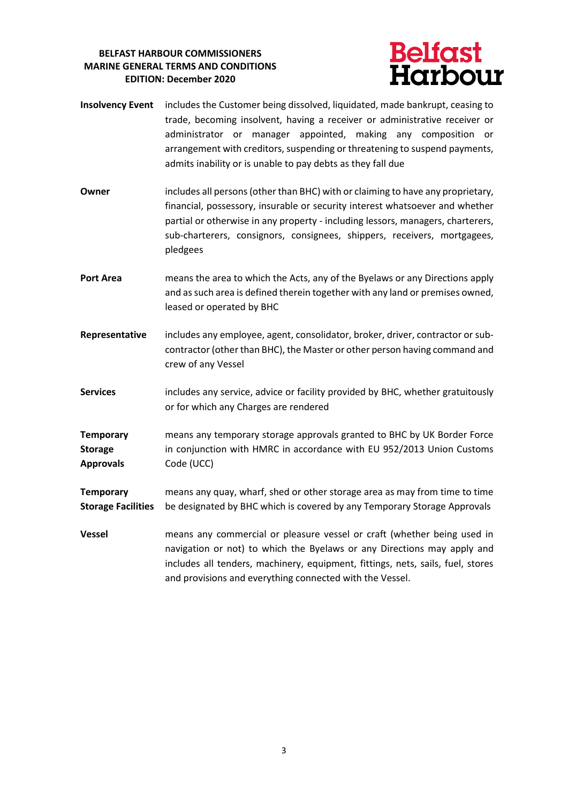

- **Insolvency Event** includes the Customer being dissolved, liquidated, made bankrupt, ceasing to trade, becoming insolvent, having a receiver or administrative receiver or administrator or manager appointed, making any composition or arrangement with creditors, suspending or threatening to suspend payments, admits inability or is unable to pay debts as they fall due
- **Owner** includes all persons (other than BHC) with or claiming to have any proprietary, financial, possessory, insurable or security interest whatsoever and whether partial or otherwise in any property - including lessors, managers, charterers, sub-charterers, consignors, consignees, shippers, receivers, mortgagees, pledgees
- **Port Area** means the area to which the Acts, any of the Byelaws or any Directions apply and as such area is defined therein together with any land or premises owned, leased or operated by BHC
- **Representative** includes any employee, agent, consolidator, broker, driver, contractor or subcontractor (other than BHC), the Master or other person having command and crew of any Vessel
- **Services** includes any service, advice or facility provided by BHC, whether gratuitously or for which any Charges are rendered

**Temporary Storage Approvals** means any temporary storage approvals granted to BHC by UK Border Force in conjunction with HMRC in accordance with EU 952/2013 Union Customs Code (UCC)

**Temporary Storage Facilities** means any quay, wharf, shed or other storage area as may from time to time be designated by BHC which is covered by any Temporary Storage Approvals

**Vessel** means any commercial or pleasure vessel or craft (whether being used in navigation or not) to which the Byelaws or any Directions may apply and includes all tenders, machinery, equipment, fittings, nets, sails, fuel, stores and provisions and everything connected with the Vessel.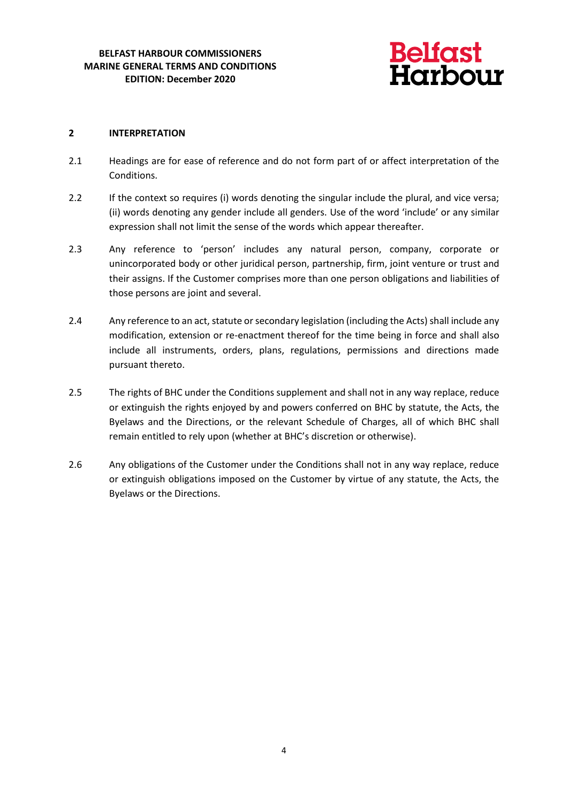

# **2 INTERPRETATION**

- 2.1 Headings are for ease of reference and do not form part of or affect interpretation of the Conditions.
- 2.2 If the context so requires (i) words denoting the singular include the plural, and vice versa; (ii) words denoting any gender include all genders. Use of the word 'include' or any similar expression shall not limit the sense of the words which appear thereafter.
- 2.3 Any reference to 'person' includes any natural person, company, corporate or unincorporated body or other juridical person, partnership, firm, joint venture or trust and their assigns. If the Customer comprises more than one person obligations and liabilities of those persons are joint and several.
- 2.4 Any reference to an act, statute or secondary legislation (including the Acts) shall include any modification, extension or re-enactment thereof for the time being in force and shall also include all instruments, orders, plans, regulations, permissions and directions made pursuant thereto.
- 2.5 The rights of BHC under the Conditions supplement and shall not in any way replace, reduce or extinguish the rights enjoyed by and powers conferred on BHC by statute, the Acts, the Byelaws and the Directions, or the relevant Schedule of Charges, all of which BHC shall remain entitled to rely upon (whether at BHC's discretion or otherwise).
- 2.6 Any obligations of the Customer under the Conditions shall not in any way replace, reduce or extinguish obligations imposed on the Customer by virtue of any statute, the Acts, the Byelaws or the Directions.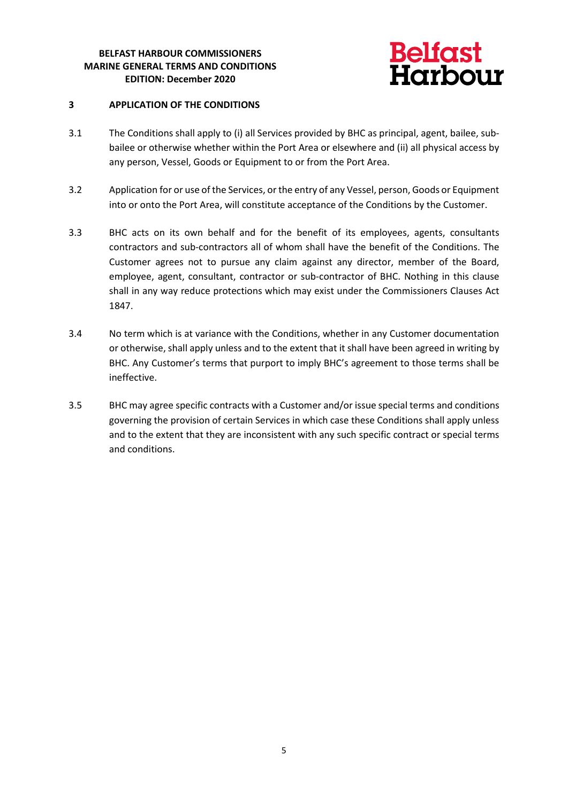

# **3 APPLICATION OF THE CONDITIONS**

- 3.1 The Conditions shall apply to (i) all Services provided by BHC as principal, agent, bailee, subbailee or otherwise whether within the Port Area or elsewhere and (ii) all physical access by any person, Vessel, Goods or Equipment to or from the Port Area.
- 3.2 Application for or use of the Services, or the entry of any Vessel, person, Goods or Equipment into or onto the Port Area, will constitute acceptance of the Conditions by the Customer.
- 3.3 BHC acts on its own behalf and for the benefit of its employees, agents, consultants contractors and sub-contractors all of whom shall have the benefit of the Conditions. The Customer agrees not to pursue any claim against any director, member of the Board, employee, agent, consultant, contractor or sub-contractor of BHC. Nothing in this clause shall in any way reduce protections which may exist under the Commissioners Clauses Act 1847.
- 3.4 No term which is at variance with the Conditions, whether in any Customer documentation or otherwise, shall apply unless and to the extent that it shall have been agreed in writing by BHC. Any Customer's terms that purport to imply BHC's agreement to those terms shall be ineffective.
- 3.5 BHC may agree specific contracts with a Customer and/or issue special terms and conditions governing the provision of certain Services in which case these Conditions shall apply unless and to the extent that they are inconsistent with any such specific contract or special terms and conditions.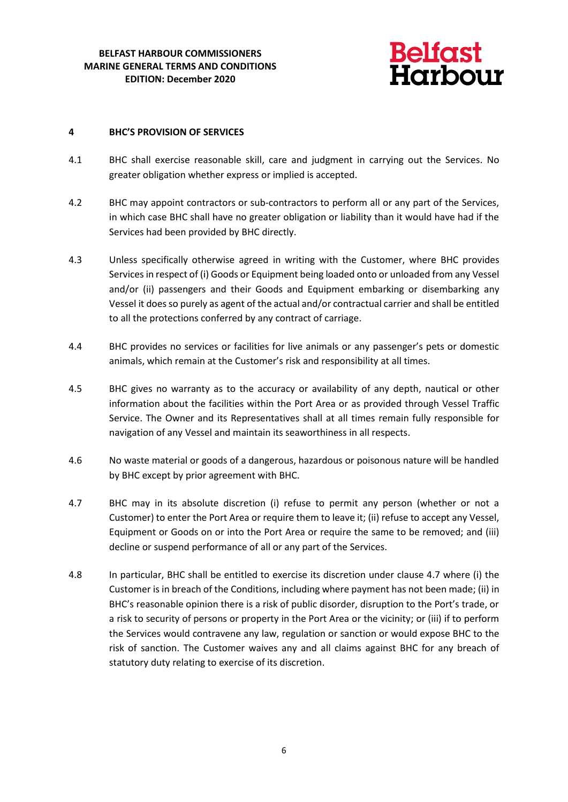

#### **4 BHC'S PROVISION OF SERVICES**

- 4.1 BHC shall exercise reasonable skill, care and judgment in carrying out the Services. No greater obligation whether express or implied is accepted.
- 4.2 BHC may appoint contractors or sub-contractors to perform all or any part of the Services, in which case BHC shall have no greater obligation or liability than it would have had if the Services had been provided by BHC directly.
- 4.3 Unless specifically otherwise agreed in writing with the Customer, where BHC provides Services in respect of (i) Goods or Equipment being loaded onto or unloaded from any Vessel and/or (ii) passengers and their Goods and Equipment embarking or disembarking any Vessel it does so purely as agent of the actual and/or contractual carrier and shall be entitled to all the protections conferred by any contract of carriage.
- 4.4 BHC provides no services or facilities for live animals or any passenger's pets or domestic animals, which remain at the Customer's risk and responsibility at all times.
- 4.5 BHC gives no warranty as to the accuracy or availability of any depth, nautical or other information about the facilities within the Port Area or as provided through Vessel Traffic Service. The Owner and its Representatives shall at all times remain fully responsible for navigation of any Vessel and maintain its seaworthiness in all respects.
- 4.6 No waste material or goods of a dangerous, hazardous or poisonous nature will be handled by BHC except by prior agreement with BHC.
- 4.7 BHC may in its absolute discretion (i) refuse to permit any person (whether or not a Customer) to enter the Port Area or require them to leave it; (ii) refuse to accept any Vessel, Equipment or Goods on or into the Port Area or require the same to be removed; and (iii) decline or suspend performance of all or any part of the Services.
- 4.8 In particular, BHC shall be entitled to exercise its discretion under clause 4.7 where (i) the Customer is in breach of the Conditions, including where payment has not been made; (ii) in BHC's reasonable opinion there is a risk of public disorder, disruption to the Port's trade, or a risk to security of persons or property in the Port Area or the vicinity; or (iii) if to perform the Services would contravene any law, regulation or sanction or would expose BHC to the risk of sanction. The Customer waives any and all claims against BHC for any breach of statutory duty relating to exercise of its discretion.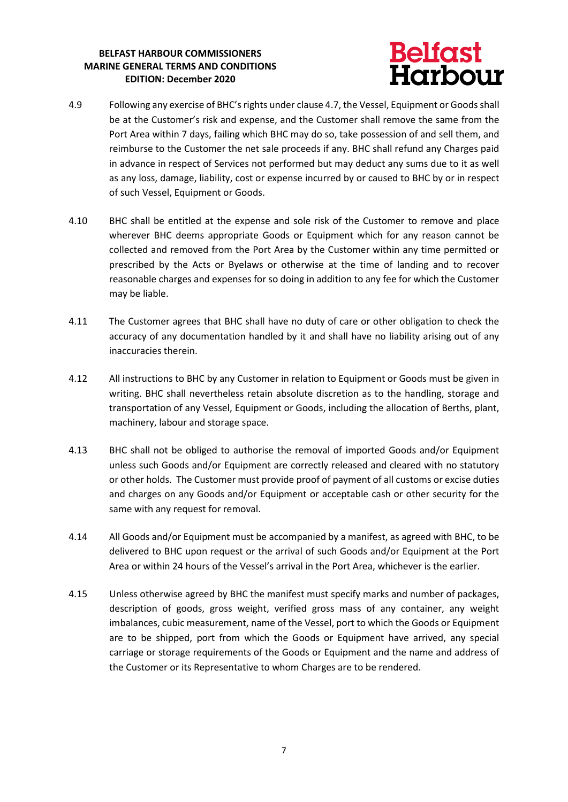# **Belfast<br>Harbour**

- 4.9 Following any exercise of BHC's rights under clause 4.7, the Vessel, Equipment or Goods shall be at the Customer's risk and expense, and the Customer shall remove the same from the Port Area within 7 days, failing which BHC may do so, take possession of and sell them, and reimburse to the Customer the net sale proceeds if any. BHC shall refund any Charges paid in advance in respect of Services not performed but may deduct any sums due to it as well as any loss, damage, liability, cost or expense incurred by or caused to BHC by or in respect of such Vessel, Equipment or Goods.
- 4.10 BHC shall be entitled at the expense and sole risk of the Customer to remove and place wherever BHC deems appropriate Goods or Equipment which for any reason cannot be collected and removed from the Port Area by the Customer within any time permitted or prescribed by the Acts or Byelaws or otherwise at the time of landing and to recover reasonable charges and expenses for so doing in addition to any fee for which the Customer may be liable.
- 4.11 The Customer agrees that BHC shall have no duty of care or other obligation to check the accuracy of any documentation handled by it and shall have no liability arising out of any inaccuracies therein.
- 4.12 All instructions to BHC by any Customer in relation to Equipment or Goods must be given in writing. BHC shall nevertheless retain absolute discretion as to the handling, storage and transportation of any Vessel, Equipment or Goods, including the allocation of Berths, plant, machinery, labour and storage space.
- 4.13 BHC shall not be obliged to authorise the removal of imported Goods and/or Equipment unless such Goods and/or Equipment are correctly released and cleared with no statutory or other holds. The Customer must provide proof of payment of all customs or excise duties and charges on any Goods and/or Equipment or acceptable cash or other security for the same with any request for removal.
- 4.14 All Goods and/or Equipment must be accompanied by a manifest, as agreed with BHC, to be delivered to BHC upon request or the arrival of such Goods and/or Equipment at the Port Area or within 24 hours of the Vessel's arrival in the Port Area, whichever is the earlier.
- 4.15 Unless otherwise agreed by BHC the manifest must specify marks and number of packages, description of goods, gross weight, verified gross mass of any container, any weight imbalances, cubic measurement, name of the Vessel, port to which the Goods or Equipment are to be shipped, port from which the Goods or Equipment have arrived, any special carriage or storage requirements of the Goods or Equipment and the name and address of the Customer or its Representative to whom Charges are to be rendered.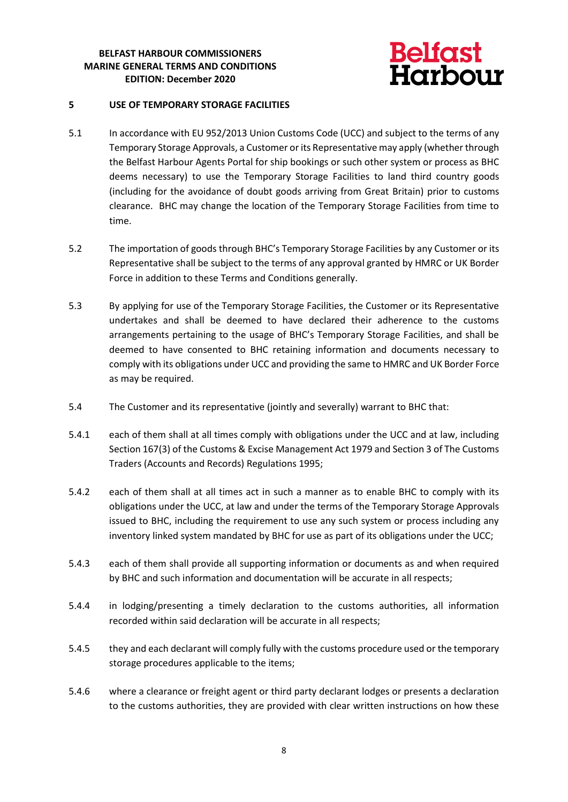

#### **5 USE OF TEMPORARY STORAGE FACILITIES**

- 5.1 In accordance with EU 952/2013 Union Customs Code (UCC) and subject to the terms of any Temporary Storage Approvals, a Customer or its Representative may apply (whether through the Belfast Harbour Agents Portal for ship bookings or such other system or process as BHC deems necessary) to use the Temporary Storage Facilities to land third country goods (including for the avoidance of doubt goods arriving from Great Britain) prior to customs clearance. BHC may change the location of the Temporary Storage Facilities from time to time.
- 5.2 The importation of goods through BHC's Temporary Storage Facilities by any Customer or its Representative shall be subject to the terms of any approval granted by HMRC or UK Border Force in addition to these Terms and Conditions generally.
- 5.3 By applying for use of the Temporary Storage Facilities, the Customer or its Representative undertakes and shall be deemed to have declared their adherence to the customs arrangements pertaining to the usage of BHC's Temporary Storage Facilities, and shall be deemed to have consented to BHC retaining information and documents necessary to comply with its obligations under UCC and providing the same to HMRC and UK Border Force as may be required.
- 5.4 The Customer and its representative (jointly and severally) warrant to BHC that:
- 5.4.1 each of them shall at all times comply with obligations under the UCC and at law, including Section 167(3) of the Customs & Excise Management Act 1979 and Section 3 of The Customs Traders (Accounts and Records) Regulations 1995;
- 5.4.2 each of them shall at all times act in such a manner as to enable BHC to comply with its obligations under the UCC, at law and under the terms of the Temporary Storage Approvals issued to BHC, including the requirement to use any such system or process including any inventory linked system mandated by BHC for use as part of its obligations under the UCC;
- 5.4.3 each of them shall provide all supporting information or documents as and when required by BHC and such information and documentation will be accurate in all respects;
- 5.4.4 in lodging/presenting a timely declaration to the customs authorities, all information recorded within said declaration will be accurate in all respects;
- 5.4.5 they and each declarant will comply fully with the customs procedure used or the temporary storage procedures applicable to the items;
- 5.4.6 where a clearance or freight agent or third party declarant lodges or presents a declaration to the customs authorities, they are provided with clear written instructions on how these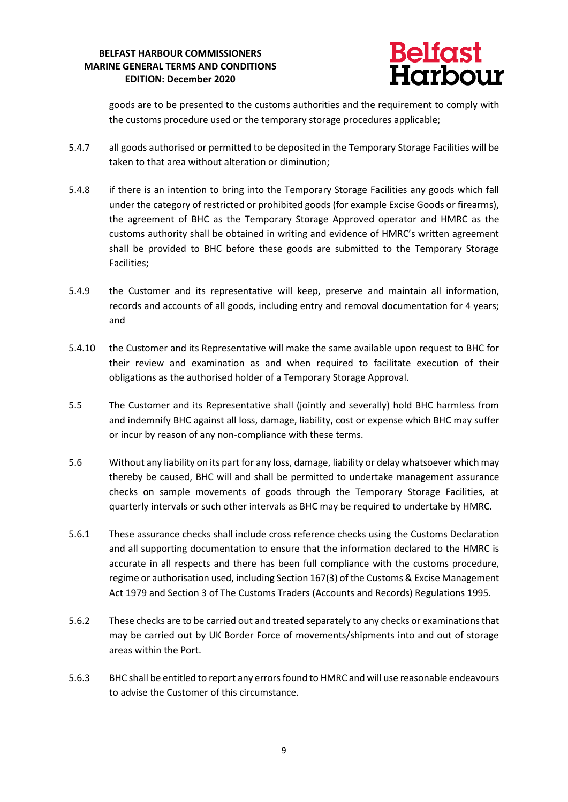

goods are to be presented to the customs authorities and the requirement to comply with the customs procedure used or the temporary storage procedures applicable;

- 5.4.7 all goods authorised or permitted to be deposited in the Temporary Storage Facilities will be taken to that area without alteration or diminution;
- 5.4.8 if there is an intention to bring into the Temporary Storage Facilities any goods which fall under the category of restricted or prohibited goods (for example Excise Goods or firearms), the agreement of BHC as the Temporary Storage Approved operator and HMRC as the customs authority shall be obtained in writing and evidence of HMRC's written agreement shall be provided to BHC before these goods are submitted to the Temporary Storage Facilities;
- 5.4.9 the Customer and its representative will keep, preserve and maintain all information, records and accounts of all goods, including entry and removal documentation for 4 years; and
- 5.4.10 the Customer and its Representative will make the same available upon request to BHC for their review and examination as and when required to facilitate execution of their obligations as the authorised holder of a Temporary Storage Approval.
- 5.5 The Customer and its Representative shall (jointly and severally) hold BHC harmless from and indemnify BHC against all loss, damage, liability, cost or expense which BHC may suffer or incur by reason of any non-compliance with these terms.
- 5.6 Without any liability on its part for any loss, damage, liability or delay whatsoever which may thereby be caused, BHC will and shall be permitted to undertake management assurance checks on sample movements of goods through the Temporary Storage Facilities, at quarterly intervals or such other intervals as BHC may be required to undertake by HMRC.
- 5.6.1 These assurance checks shall include cross reference checks using the Customs Declaration and all supporting documentation to ensure that the information declared to the HMRC is accurate in all respects and there has been full compliance with the customs procedure, regime or authorisation used, including Section 167(3) of the Customs & Excise Management Act 1979 and Section 3 of The Customs Traders (Accounts and Records) Regulations 1995.
- 5.6.2 These checks are to be carried out and treated separately to any checks or examinations that may be carried out by UK Border Force of movements/shipments into and out of storage areas within the Port.
- 5.6.3 BHC shall be entitled to report any errors found to HMRC and will use reasonable endeavours to advise the Customer of this circumstance.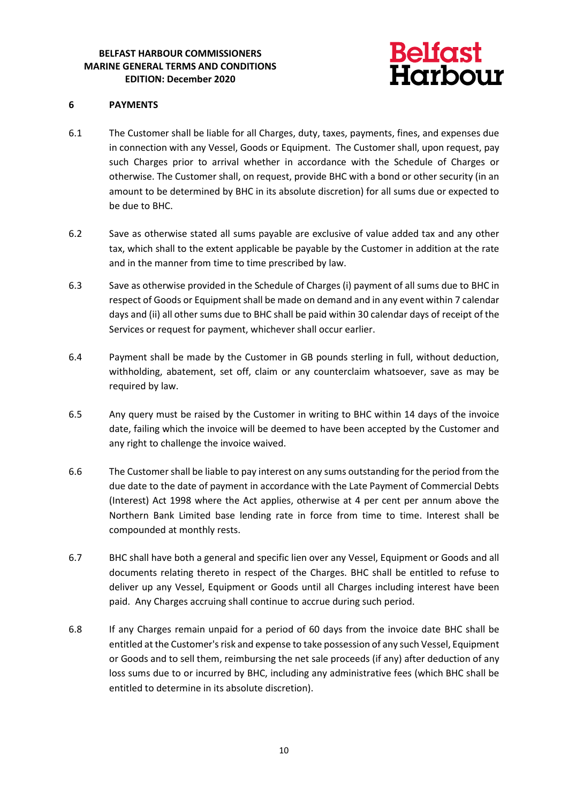

#### **6 PAYMENTS**

- 6.1 The Customer shall be liable for all Charges, duty, taxes, payments, fines, and expenses due in connection with any Vessel, Goods or Equipment. The Customer shall, upon request, pay such Charges prior to arrival whether in accordance with the Schedule of Charges or otherwise. The Customer shall, on request, provide BHC with a bond or other security (in an amount to be determined by BHC in its absolute discretion) for all sums due or expected to be due to BHC.
- 6.2 Save as otherwise stated all sums payable are exclusive of value added tax and any other tax, which shall to the extent applicable be payable by the Customer in addition at the rate and in the manner from time to time prescribed by law.
- 6.3 Save as otherwise provided in the Schedule of Charges (i) payment of all sums due to BHC in respect of Goods or Equipment shall be made on demand and in any event within 7 calendar days and (ii) all other sums due to BHC shall be paid within 30 calendar days of receipt of the Services or request for payment, whichever shall occur earlier.
- 6.4 Payment shall be made by the Customer in GB pounds sterling in full, without deduction, withholding, abatement, set off, claim or any counterclaim whatsoever, save as may be required by law.
- 6.5 Any query must be raised by the Customer in writing to BHC within 14 days of the invoice date, failing which the invoice will be deemed to have been accepted by the Customer and any right to challenge the invoice waived.
- 6.6 The Customer shall be liable to pay interest on any sums outstanding for the period from the due date to the date of payment in accordance with the Late Payment of Commercial Debts (Interest) Act 1998 where the Act applies, otherwise at 4 per cent per annum above the Northern Bank Limited base lending rate in force from time to time. Interest shall be compounded at monthly rests.
- 6.7 BHC shall have both a general and specific lien over any Vessel, Equipment or Goods and all documents relating thereto in respect of the Charges. BHC shall be entitled to refuse to deliver up any Vessel, Equipment or Goods until all Charges including interest have been paid. Any Charges accruing shall continue to accrue during such period.
- 6.8 If any Charges remain unpaid for a period of 60 days from the invoice date BHC shall be entitled at the Customer's risk and expense to take possession of any such Vessel, Equipment or Goods and to sell them, reimbursing the net sale proceeds (if any) after deduction of any loss sums due to or incurred by BHC, including any administrative fees (which BHC shall be entitled to determine in its absolute discretion).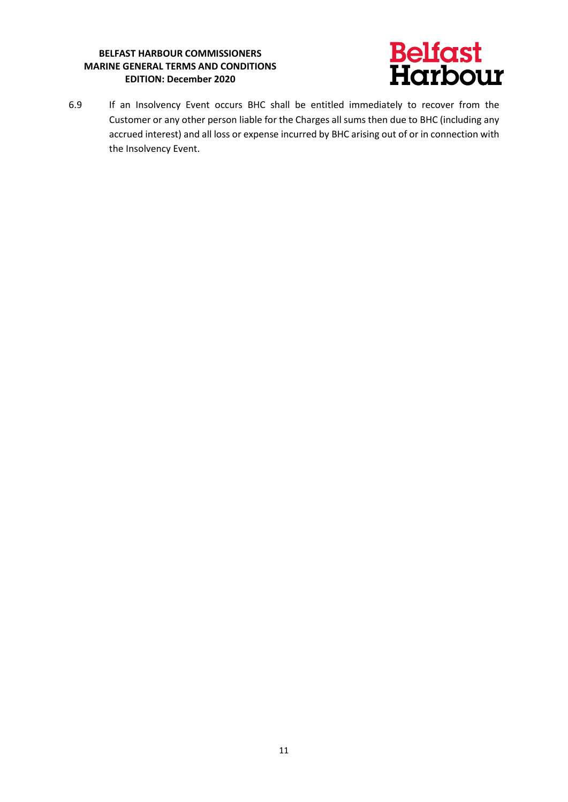

6.9 If an Insolvency Event occurs BHC shall be entitled immediately to recover from the Customer or any other person liable for the Charges all sums then due to BHC (including any accrued interest) and all loss or expense incurred by BHC arising out of or in connection with the Insolvency Event.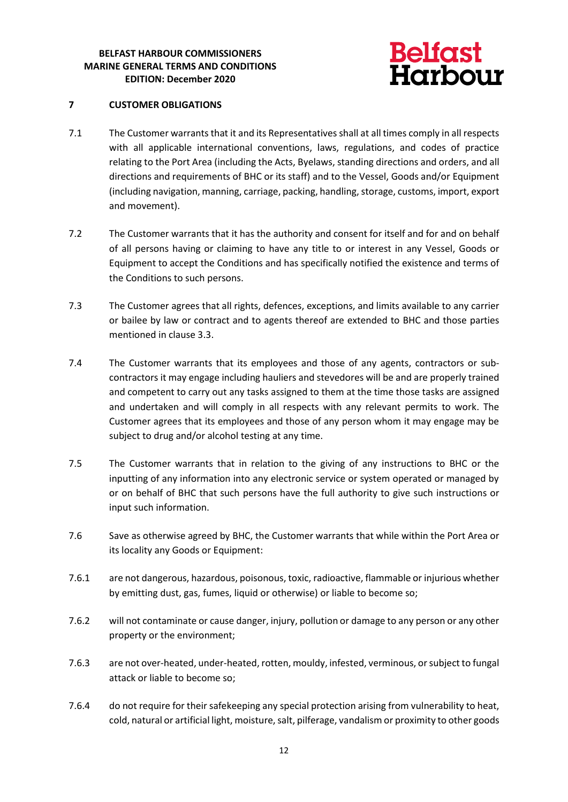

# **7 CUSTOMER OBLIGATIONS**

- 7.1 The Customer warrants that it and its Representatives shall at all times comply in all respects with all applicable international conventions, laws, regulations, and codes of practice relating to the Port Area (including the Acts, Byelaws, standing directions and orders, and all directions and requirements of BHC or its staff) and to the Vessel, Goods and/or Equipment (including navigation, manning, carriage, packing, handling, storage, customs, import, export and movement).
- 7.2 The Customer warrants that it has the authority and consent for itself and for and on behalf of all persons having or claiming to have any title to or interest in any Vessel, Goods or Equipment to accept the Conditions and has specifically notified the existence and terms of the Conditions to such persons.
- 7.3 The Customer agrees that all rights, defences, exceptions, and limits available to any carrier or bailee by law or contract and to agents thereof are extended to BHC and those parties mentioned in clause 3.3.
- 7.4 The Customer warrants that its employees and those of any agents, contractors or subcontractors it may engage including hauliers and stevedores will be and are properly trained and competent to carry out any tasks assigned to them at the time those tasks are assigned and undertaken and will comply in all respects with any relevant permits to work. The Customer agrees that its employees and those of any person whom it may engage may be subject to drug and/or alcohol testing at any time.
- 7.5 The Customer warrants that in relation to the giving of any instructions to BHC or the inputting of any information into any electronic service or system operated or managed by or on behalf of BHC that such persons have the full authority to give such instructions or input such information.
- 7.6 Save as otherwise agreed by BHC, the Customer warrants that while within the Port Area or its locality any Goods or Equipment:
- 7.6.1 are not dangerous, hazardous, poisonous, toxic, radioactive, flammable or injurious whether by emitting dust, gas, fumes, liquid or otherwise) or liable to become so;
- 7.6.2 will not contaminate or cause danger, injury, pollution or damage to any person or any other property or the environment;
- 7.6.3 are not over-heated, under-heated, rotten, mouldy, infested, verminous, or subject to fungal attack or liable to become so;
- 7.6.4 do not require for their safekeeping any special protection arising from vulnerability to heat, cold, natural or artificial light, moisture, salt, pilferage, vandalism or proximity to other goods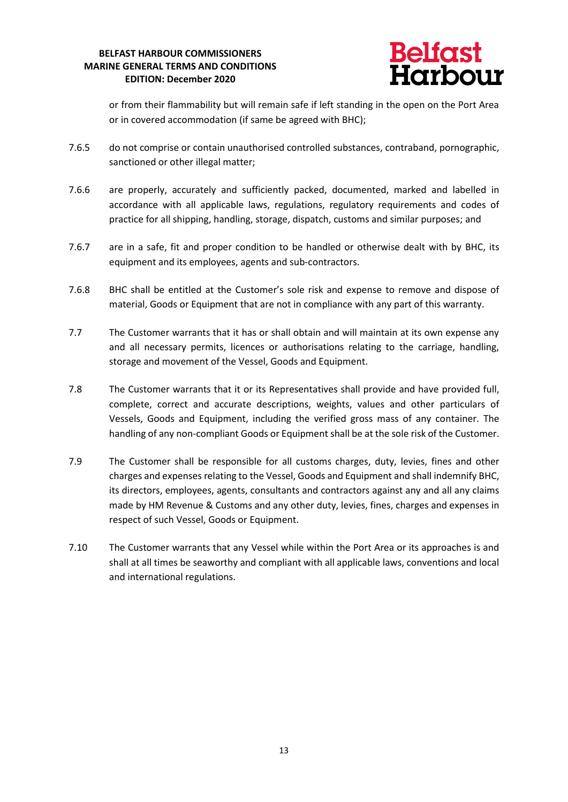

or from their flammability but will remain safe if left standing in the open on the Port Area or in covered accommodation (if same be agreed with BHC);

- 7.6.5 do not comprise or contain unauthorised controlled substances, contraband, pornographic, sanctioned or other illegal matter;
- 7.6.6 are properly, accurately and sufficiently packed, documented, marked and labelled in accordance with all applicable laws, regulations, regulatory requirements and codes of practice for all shipping, handling, storage, dispatch, customs and similar purposes; and
- 7.6.7 are in a safe, fit and proper condition to be handled or otherwise dealt with by BHC, its equipment and its employees, agents and sub-contractors.
- 7.6.8 BHC shall be entitled at the Customer's sole risk and expense to remove and dispose of material, Goods or Equipment that are not in compliance with any part of this warranty.
- 7.7 The Customer warrants that it has or shall obtain and will maintain at its own expense any and all necessary permits, licences or authorisations relating to the carriage, handling, storage and movement of the Vessel, Goods and Equipment.
- 7.8 The Customer warrants that it or its Representatives shall provide and have provided full, complete, correct and accurate descriptions, weights, values and other particulars of Vessels, Goods and Equipment, including the verified gross mass of any container. The handling of any non-compliant Goods or Equipment shall be at the sole risk of the Customer.
- 7.9 The Customer shall be responsible for all customs charges, duty, levies, fines and other charges and expenses relating to the Vessel, Goods and Equipment and shall indemnify BHC, its directors, employees, agents, consultants and contractors against any and all any claims made by HM Revenue & Customs and any other duty, levies, fines, charges and expenses in respect of such Vessel, Goods or Equipment.
- 7.10 The Customer warrants that any Vessel while within the Port Area or its approaches is and shall at all times be seaworthy and compliant with all applicable laws, conventions and local and international regulations.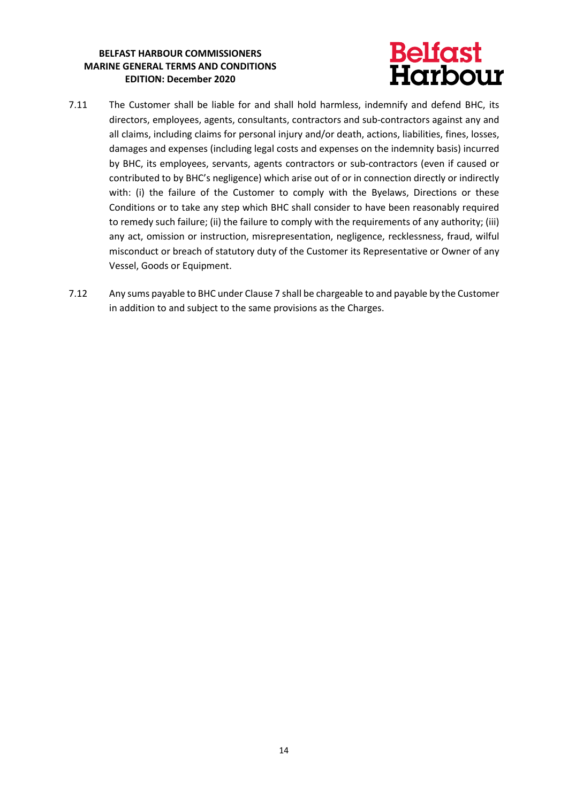# **Belfast<br>Harbour**

- 7.11 The Customer shall be liable for and shall hold harmless, indemnify and defend BHC, its directors, employees, agents, consultants, contractors and sub-contractors against any and all claims, including claims for personal injury and/or death, actions, liabilities, fines, losses, damages and expenses (including legal costs and expenses on the indemnity basis) incurred by BHC, its employees, servants, agents contractors or sub-contractors (even if caused or contributed to by BHC's negligence) which arise out of or in connection directly or indirectly with: (i) the failure of the Customer to comply with the Byelaws, Directions or these Conditions or to take any step which BHC shall consider to have been reasonably required to remedy such failure; (ii) the failure to comply with the requirements of any authority; (iii) any act, omission or instruction, misrepresentation, negligence, recklessness, fraud, wilful misconduct or breach of statutory duty of the Customer its Representative or Owner of any Vessel, Goods or Equipment.
- 7.12 Any sums payable to BHC under Clause 7 shall be chargeable to and payable by the Customer in addition to and subject to the same provisions as the Charges.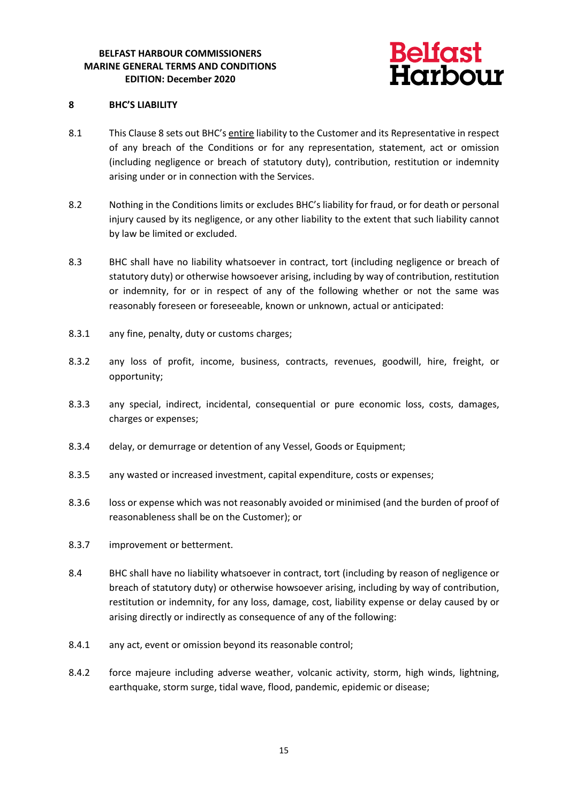

#### **8 BHC'S LIABILITY**

- 8.1 This Clause 8 sets out BHC's entire liability to the Customer and its Representative in respect of any breach of the Conditions or for any representation, statement, act or omission (including negligence or breach of statutory duty), contribution, restitution or indemnity arising under or in connection with the Services.
- 8.2 Nothing in the Conditions limits or excludes BHC's liability for fraud, or for death or personal injury caused by its negligence, or any other liability to the extent that such liability cannot by law be limited or excluded.
- 8.3 BHC shall have no liability whatsoever in contract, tort (including negligence or breach of statutory duty) or otherwise howsoever arising, including by way of contribution, restitution or indemnity, for or in respect of any of the following whether or not the same was reasonably foreseen or foreseeable, known or unknown, actual or anticipated:
- 8.3.1 any fine, penalty, duty or customs charges;
- 8.3.2 any loss of profit, income, business, contracts, revenues, goodwill, hire, freight, or opportunity;
- 8.3.3 any special, indirect, incidental, consequential or pure economic loss, costs, damages, charges or expenses;
- 8.3.4 delay, or demurrage or detention of any Vessel, Goods or Equipment;
- 8.3.5 any wasted or increased investment, capital expenditure, costs or expenses;
- 8.3.6 loss or expense which was not reasonably avoided or minimised (and the burden of proof of reasonableness shall be on the Customer); or
- 8.3.7 improvement or betterment.
- 8.4 BHC shall have no liability whatsoever in contract, tort (including by reason of negligence or breach of statutory duty) or otherwise howsoever arising, including by way of contribution, restitution or indemnity, for any loss, damage, cost, liability expense or delay caused by or arising directly or indirectly as consequence of any of the following:
- 8.4.1 any act, event or omission beyond its reasonable control;
- 8.4.2 force majeure including adverse weather, volcanic activity, storm, high winds, lightning, earthquake, storm surge, tidal wave, flood, pandemic, epidemic or disease;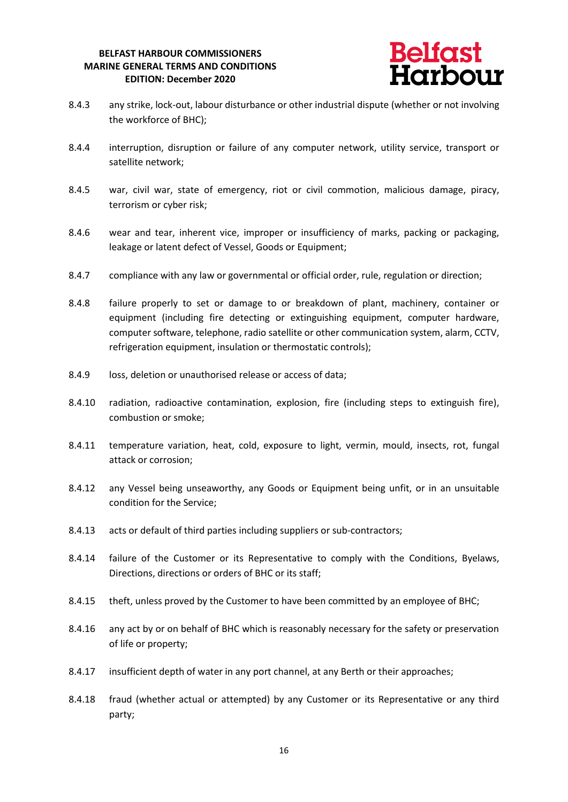

- 8.4.3 any strike, lock-out, labour disturbance or other industrial dispute (whether or not involving the workforce of BHC);
- 8.4.4 interruption, disruption or failure of any computer network, utility service, transport or satellite network;
- 8.4.5 war, civil war, state of emergency, riot or civil commotion, malicious damage, piracy, terrorism or cyber risk;
- 8.4.6 wear and tear, inherent vice, improper or insufficiency of marks, packing or packaging, leakage or latent defect of Vessel, Goods or Equipment;
- 8.4.7 compliance with any law or governmental or official order, rule, regulation or direction;
- 8.4.8 failure properly to set or damage to or breakdown of plant, machinery, container or equipment (including fire detecting or extinguishing equipment, computer hardware, computer software, telephone, radio satellite or other communication system, alarm, CCTV, refrigeration equipment, insulation or thermostatic controls);
- 8.4.9 loss, deletion or unauthorised release or access of data;
- 8.4.10 radiation, radioactive contamination, explosion, fire (including steps to extinguish fire), combustion or smoke;
- 8.4.11 temperature variation, heat, cold, exposure to light, vermin, mould, insects, rot, fungal attack or corrosion;
- 8.4.12 any Vessel being unseaworthy, any Goods or Equipment being unfit, or in an unsuitable condition for the Service;
- 8.4.13 acts or default of third parties including suppliers or sub-contractors;
- 8.4.14 failure of the Customer or its Representative to comply with the Conditions, Byelaws, Directions, directions or orders of BHC or its staff;
- 8.4.15 theft, unless proved by the Customer to have been committed by an employee of BHC;
- 8.4.16 any act by or on behalf of BHC which is reasonably necessary for the safety or preservation of life or property;
- 8.4.17 insufficient depth of water in any port channel, at any Berth or their approaches;
- 8.4.18 fraud (whether actual or attempted) by any Customer or its Representative or any third party;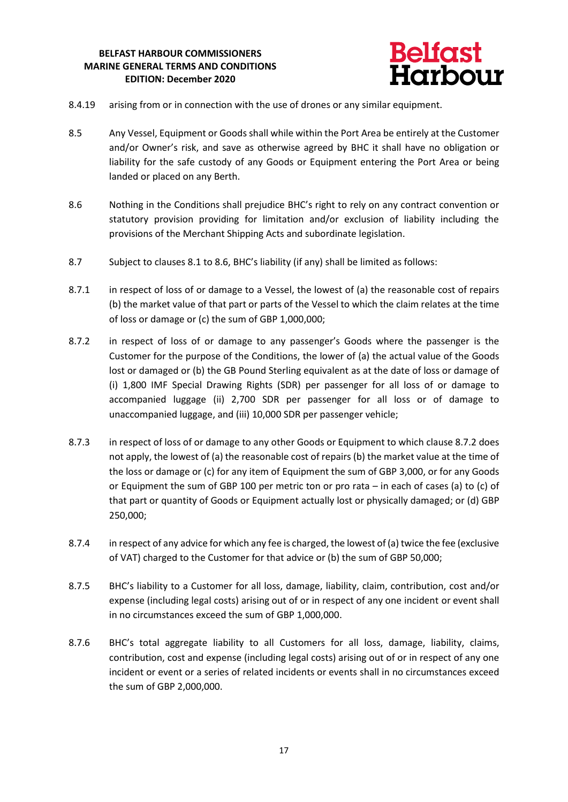

- 8.4.19 arising from or in connection with the use of drones or any similar equipment.
- 8.5 Any Vessel, Equipment or Goods shall while within the Port Area be entirely at the Customer and/or Owner's risk, and save as otherwise agreed by BHC it shall have no obligation or liability for the safe custody of any Goods or Equipment entering the Port Area or being landed or placed on any Berth.
- 8.6 Nothing in the Conditions shall prejudice BHC's right to rely on any contract convention or statutory provision providing for limitation and/or exclusion of liability including the provisions of the Merchant Shipping Acts and subordinate legislation.
- 8.7 Subject to clauses 8.1 to 8.6, BHC's liability (if any) shall be limited as follows:
- 8.7.1 in respect of loss of or damage to a Vessel, the lowest of (a) the reasonable cost of repairs (b) the market value of that part or parts of the Vessel to which the claim relates at the time of loss or damage or (c) the sum of GBP 1,000,000;
- 8.7.2 in respect of loss of or damage to any passenger's Goods where the passenger is the Customer for the purpose of the Conditions, the lower of (a) the actual value of the Goods lost or damaged or (b) the GB Pound Sterling equivalent as at the date of loss or damage of (i) 1,800 IMF Special Drawing Rights (SDR) per passenger for all loss of or damage to accompanied luggage (ii) 2,700 SDR per passenger for all loss or of damage to unaccompanied luggage, and (iii) 10,000 SDR per passenger vehicle;
- 8.7.3 in respect of loss of or damage to any other Goods or Equipment to which clause 8.7.2 does not apply, the lowest of (a) the reasonable cost of repairs (b) the market value at the time of the loss or damage or (c) for any item of Equipment the sum of GBP 3,000, or for any Goods or Equipment the sum of GBP 100 per metric ton or pro rata – in each of cases (a) to (c) of that part or quantity of Goods or Equipment actually lost or physically damaged; or (d) GBP 250,000;
- 8.7.4 in respect of any advice for which any fee is charged, the lowest of (a) twice the fee (exclusive of VAT) charged to the Customer for that advice or (b) the sum of GBP 50,000;
- 8.7.5 BHC's liability to a Customer for all loss, damage, liability, claim, contribution, cost and/or expense (including legal costs) arising out of or in respect of any one incident or event shall in no circumstances exceed the sum of GBP 1,000,000.
- 8.7.6 BHC's total aggregate liability to all Customers for all loss, damage, liability, claims, contribution, cost and expense (including legal costs) arising out of or in respect of any one incident or event or a series of related incidents or events shall in no circumstances exceed the sum of GBP 2,000,000.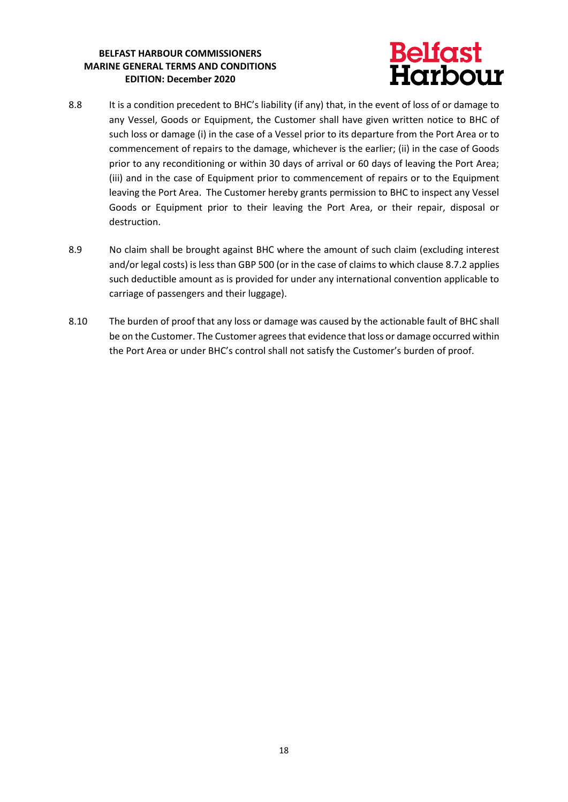

- 8.8 It is a condition precedent to BHC's liability (if any) that, in the event of loss of or damage to any Vessel, Goods or Equipment, the Customer shall have given written notice to BHC of such loss or damage (i) in the case of a Vessel prior to its departure from the Port Area or to commencement of repairs to the damage, whichever is the earlier; (ii) in the case of Goods prior to any reconditioning or within 30 days of arrival or 60 days of leaving the Port Area; (iii) and in the case of Equipment prior to commencement of repairs or to the Equipment leaving the Port Area. The Customer hereby grants permission to BHC to inspect any Vessel Goods or Equipment prior to their leaving the Port Area, or their repair, disposal or destruction.
- 8.9 No claim shall be brought against BHC where the amount of such claim (excluding interest and/or legal costs) is less than GBP 500 (or in the case of claims to which clause 8.7.2 applies such deductible amount as is provided for under any international convention applicable to carriage of passengers and their luggage).
- 8.10 The burden of proof that any loss or damage was caused by the actionable fault of BHC shall be on the Customer. The Customer agrees that evidence that loss or damage occurred within the Port Area or under BHC's control shall not satisfy the Customer's burden of proof.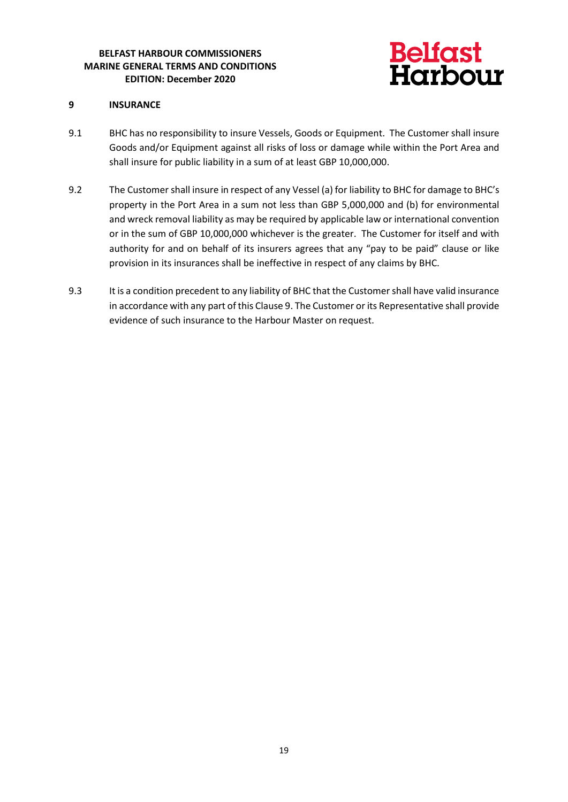

#### **9 INSURANCE**

- 9.1 BHC has no responsibility to insure Vessels, Goods or Equipment. The Customer shall insure Goods and/or Equipment against all risks of loss or damage while within the Port Area and shall insure for public liability in a sum of at least GBP 10,000,000.
- 9.2 The Customer shall insure in respect of any Vessel (a) for liability to BHC for damage to BHC's property in the Port Area in a sum not less than GBP 5,000,000 and (b) for environmental and wreck removal liability as may be required by applicable law or international convention or in the sum of GBP 10,000,000 whichever is the greater. The Customer for itself and with authority for and on behalf of its insurers agrees that any "pay to be paid" clause or like provision in its insurances shall be ineffective in respect of any claims by BHC.
- 9.3 It is a condition precedent to any liability of BHC that the Customer shall have valid insurance in accordance with any part of this Clause 9. The Customer or its Representative shall provide evidence of such insurance to the Harbour Master on request.